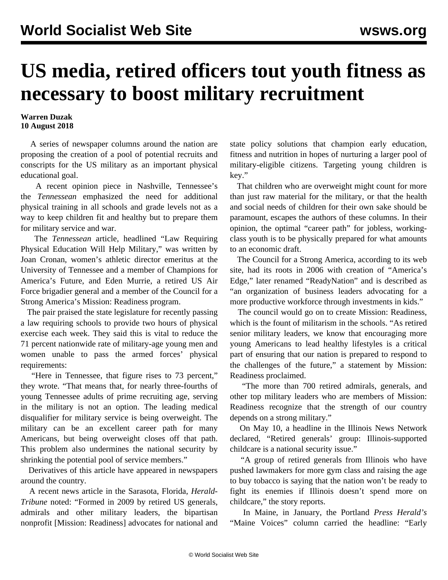## **US media, retired officers tout youth fitness as necessary to boost military recruitment**

## **Warren Duzak 10 August 2018**

 A series of newspaper columns around the nation are proposing the creation of a pool of potential recruits and conscripts for the US military as an important physical educational goal.

 A recent opinion piece in Nashville, Tennessee's the *Tennessean* emphasized the need for additional physical training in all schools and grade levels not as a way to keep children fit and healthy but to prepare them for military service and war.

 The *Tennessean* article, headlined "Law Requiring Physical Education Will Help Military," was written by Joan Cronan, women's athletic director emeritus at the University of Tennessee and a member of Champions for America's Future, and Eden Murrie, a retired US Air Force brigadier general and a member of the Council for a Strong America's Mission: Readiness program.

 The pair praised the state legislature for recently passing a law requiring schools to provide two hours of physical exercise each week. They said this is vital to reduce the 71 percent nationwide rate of military-age young men and women unable to pass the armed forces' physical requirements:

 "Here in Tennessee, that figure rises to 73 percent," they wrote. "That means that, for nearly three-fourths of young Tennessee adults of prime recruiting age, serving in the military is not an option. The leading medical disqualifier for military service is being overweight. The military can be an excellent career path for many Americans, but being overweight closes off that path. This problem also undermines the national security by shrinking the potential pool of service members."

 Derivatives of this article have appeared in newspapers around the country.

 A recent news article in the Sarasota, Florida, *Herald-Tribune* noted: "Formed in 2009 by retired US generals, admirals and other military leaders, the bipartisan nonprofit [Mission: Readiness] advocates for national and state policy solutions that champion early education, fitness and nutrition in hopes of nurturing a larger pool of military-eligible citizens. Targeting young children is key."

 That children who are overweight might count for more than just raw material for the military, or that the health and social needs of children for their own sake should be paramount, escapes the authors of these columns. In their opinion, the optimal "career path" for jobless, workingclass youth is to be physically prepared for what amounts to an economic draft.

 The Council for a Strong America, according to its web site, had its roots in 2006 with creation of "America's Edge," later renamed "ReadyNation" and is described as "an organization of business leaders advocating for a more productive workforce through investments in kids."

 The council would go on to create Mission: Readiness, which is the fount of militarism in the schools. "As retired senior military leaders, we know that encouraging more young Americans to lead healthy lifestyles is a critical part of ensuring that our nation is prepared to respond to the challenges of the future," a statement by Mission: Readiness proclaimed.

 "The more than 700 retired admirals, generals, and other top military leaders who are members of Mission: Readiness recognize that the strength of our country depends on a strong military."

 On May 10, a headline in the Illinois News Network declared, "Retired generals' group: Illinois-supported childcare is a national security issue."

 "A group of retired generals from Illinois who have pushed lawmakers for more gym class and raising the age to buy tobacco is saying that the nation won't be ready to fight its enemies if Illinois doesn't spend more on childcare," the story reports.

 In Maine, in January, the Portland *Press Herald's* "Maine Voices" column carried the headline: "Early